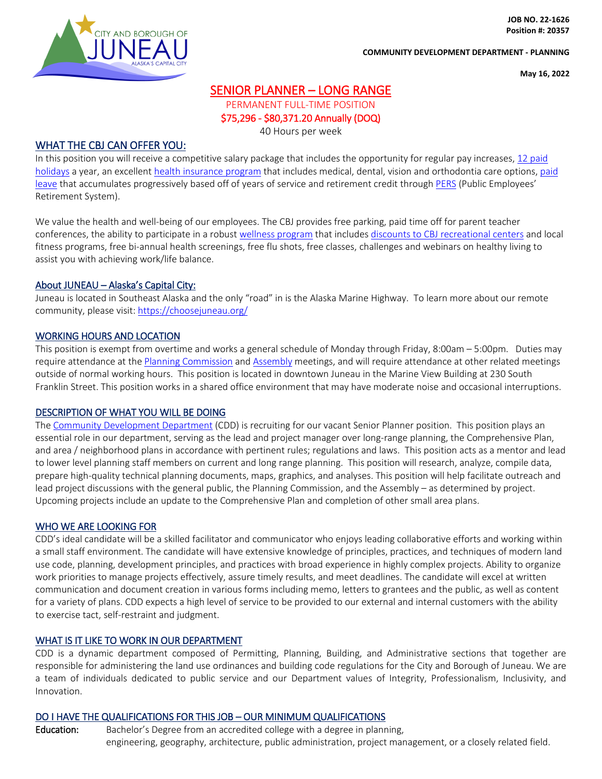

**JOB NO. 22-1626 Position #: 20357**

#### **COMMUNITY DEVELOPMENT DEPARTMENT - PLANNING**

**May 16, 2022**

# SENIOR PLANNER – LONG RANGE

PERMANENT FULL-TIME POSITION \$75,296 - \$80,371.20 Annually (DOQ)

40 Hours per week

## WHAT THE CBJ CAN OFFER YOU:

In this position you will receive a competitive salary package that includes the opportunity for regular pay increases, 12 [paid](https://juneau.org/wp-content/uploads/2021/10/2022-Holiday-Schedule-7.pdf)  [holidays](https://juneau.org/wp-content/uploads/2021/10/2022-Holiday-Schedule-7.pdf) a year, an excellent [health insurance program](https://juneau.org/wp-content/uploads/2022/05/CBJ-plan-comparision-2022-2023.pdf) that includes medical, dental, vision and orthodontia care options[, paid](https://juneau.org/index.php?gf-download=2022%2F02%2F2022-02-07-Personnel-rule-revision-Res.-No.-2977-Final.pdf&form-id=25&field-id=4&hash=dd4de693035e5df24d5a2866fa7ead0b10a3f288f90cf43c085cbd8cf597323c)  [leave](https://juneau.org/index.php?gf-download=2022%2F02%2F2022-02-07-Personnel-rule-revision-Res.-No.-2977-Final.pdf&form-id=25&field-id=4&hash=dd4de693035e5df24d5a2866fa7ead0b10a3f288f90cf43c085cbd8cf597323c) that accumulates progressively based off of years of service and retirement credit throug[h PERS](https://juneau.org/wp-content/uploads/2018/08/PERS-Tiers-I-IV-Chart.pdf) (Public Employees' Retirement System).

We value the health and well-being of our employees. The CBJ provides free parking, paid time off for parent teacher conferences, the ability to participate in a robus[t wellness program](https://juneau.org/human-resources/wellness-program) that include[s discounts to CBJ recreational centers](https://juneau.org/wp-content/uploads/2021/07/FY22-Wellness-Form-revised-7.1.2021.pdf) and local fitness programs, free bi-annual health screenings, free flu shots, free classes, challenges and webinars on healthy living to assist you with achieving work/life balance.

## About JUNEAU – Alaska's Capital City:

Juneau is located in Southeast Alaska and the only "road" in is the Alaska Marine Highway. To learn more about our remote community, please visit[: https://choosejuneau.org/](https://choosejuneau.org/)

## WORKING HOURS AND LOCATION

This position is exempt from overtime and works a general schedule of Monday through Friday, 8:00am – 5:00pm. Duties may require attendance at the [Planning Commission](https://juneau.org/community-development/planning-commission) an[d Assembly](https://juneau.org/assembly) meetings, and will require attendance at other related meetings outside of normal working hours. This position is located in downtown Juneau in the Marine View Building at 230 South Franklin Street. This position works in a shared office environment that may have moderate noise and occasional interruptions.

#### DESCRIPTION OF WHAT YOU WILL BE DOING

The [Community Development Department](https://juneau.org/community-development) (CDD) is recruiting for our vacant Senior Planner position. This position plays an essential role in our department, serving as the lead and project manager over long-range planning, the Comprehensive Plan, and area / neighborhood plans in accordance with pertinent rules; regulations and laws. This position acts as a mentor and lead to lower level planning staff members on current and long range planning. This position will research, analyze, compile data, prepare high-quality technical planning documents, maps, graphics, and analyses. This position will help facilitate outreach and lead project discussions with the general public, the Planning Commission, and the Assembly – as determined by project. Upcoming projects include an update to the Comprehensive Plan and completion of other small area plans.

#### WHO WE ARE LOOKING FOR

CDD's ideal candidate will be a skilled facilitator and communicator who enjoys leading collaborative efforts and working within a small staff environment. The candidate will have extensive knowledge of principles, practices, and techniques of modern land use code, planning, development principles, and practices with broad experience in highly complex projects. Ability to organize work priorities to manage projects effectively, assure timely results, and meet deadlines. The candidate will excel at written communication and document creation in various forms including memo, letters to grantees and the public, as well as content for a variety of plans. CDD expects a high level of service to be provided to our external and internal customers with the ability to exercise tact, self-restraint and judgment.

## WHAT IS IT LIKE TO WORK IN OUR DEPARTMENT

CDD is a dynamic department composed of Permitting, Planning, Building, and Administrative sections that together are responsible for administering the land use ordinances and building code regulations for the City and Borough of Juneau. We are a team of individuals dedicated to public service and our Department values of Integrity, Professionalism, Inclusivity, and Innovation.

## DO I HAVE THE QUALIFICATIONS FOR THIS JOB – OUR MINIMUM QUALIFICATIONS

Education: Bachelor's Degree from an accredited college with a degree in planning, engineering, geography, architecture, public administration, project management, or a closely related field.